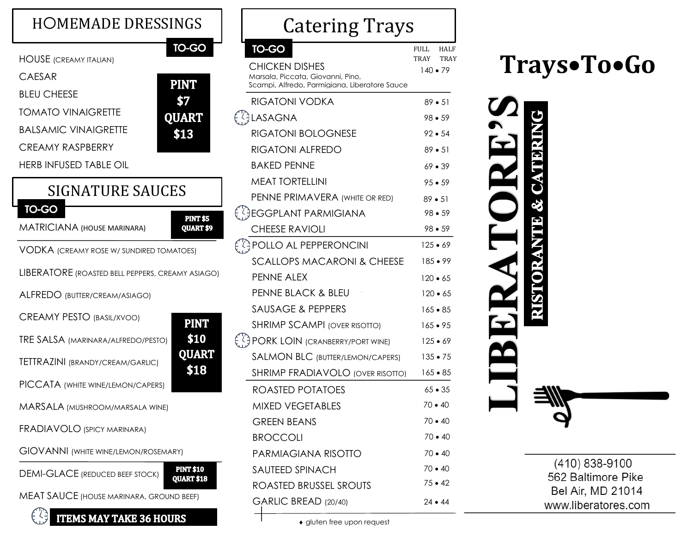| <b>HOMEMADE DRESSINGS</b>                                                                                                                                                                    |                                                            |  |
|----------------------------------------------------------------------------------------------------------------------------------------------------------------------------------------------|------------------------------------------------------------|--|
| <b>HOUSE</b> (CREAMY ITALIAN)<br><b>CAESAR</b><br><b>BLEU CHEESE</b><br><b>TOMATO VINAIGRETTE</b><br><b>BALSAMIC VINAIGRETTE</b><br><b>CREAMY RASPBERRY</b><br><b>HERB INFUSED TABLE OIL</b> | <b>TO-GO</b><br><b>PINT</b><br>\$7<br><b>QUART</b><br>\$13 |  |
| <b>SIGNATURE SAUCES</b>                                                                                                                                                                      |                                                            |  |
| <b>TO-GO</b><br><b>MATRICIANA (HOUSE MARINARA)</b>                                                                                                                                           | <b>PINT \$5</b><br>QUART \$9                               |  |
| VODKA (CREAMY ROSE W/ SUNDIRED TOMATOES)                                                                                                                                                     |                                                            |  |
| LIBERATORE (ROASTED BELL PEPPERS, CREAMY ASIAGO)                                                                                                                                             |                                                            |  |
| ALFREDO (BUTTER/CREAM/ASIAGO)                                                                                                                                                                |                                                            |  |
| <b>CREAMY PESTO (BASIL/XVOO)</b>                                                                                                                                                             | <b>PINT</b>                                                |  |
| TRE SALSA (MARINARA/ALFREDO/PESTO)                                                                                                                                                           | \$10                                                       |  |
| <b>TETTRAZINI (BRANDY/CREAM/GARLIC)</b>                                                                                                                                                      | <b>QUART</b><br>\$18                                       |  |
| PICCATA (WHITE WINE/LEMON/CAPERS)                                                                                                                                                            |                                                            |  |
| MARSALA (MUSHROOM/MARSALA WINE)                                                                                                                                                              |                                                            |  |
| <b>FRADIAVOLO (SPICY MARINARA)</b>                                                                                                                                                           |                                                            |  |
| <b>GIOVANNI</b> (WHITE WINE/LEMON/ROSEMARY)                                                                                                                                                  |                                                            |  |
| <b>PINT \$10</b><br><b>DEMI-GLACE</b> (REDUCED BEEF STOCK)<br><b>QUART \$18</b>                                                                                                              |                                                            |  |
| <b>MEAT SAUCE (HOUSE MARINARA, GROUND BEEF)</b>                                                                                                                                              |                                                            |  |

| <b>THEMS MAY TAKE 36 HOURS</b>        |
|---------------------------------------|
| EAT SAUCE (house marinara, ground bee |

| <b>Catering Trays</b>                                                              |                             |  |
|------------------------------------------------------------------------------------|-----------------------------|--|
| TO-GO                                                                              | FULL<br>HALF<br><b>TRAY</b> |  |
| <b>CHICKEN DISHES</b>                                                              | TRAY<br>140 ● 79            |  |
| Marsala, Piccata, Giovanni, Pino,<br>Scampi, Alfredo, Parmigiana, Liberatore Sauce |                             |  |
| <b>RIGATONI VODKA</b>                                                              | $89 - 51$                   |  |
| {}LaSagna                                                                          | $98 - 59$                   |  |
| <b>RIGATONI BOLOGNESE</b>                                                          | $92 - 54$                   |  |
| <b>RIGATONI ALFREDO</b>                                                            | $89 - 51$                   |  |
| <b>BAKED PENNE</b>                                                                 | $69 - 39$                   |  |
| <b>MEAT TORTELLINI</b>                                                             | $95 - 59$                   |  |
| PENNE PRIMAVERA (WHITE OR RED)                                                     | $89 - 51$                   |  |
| ∫}EGGPLANT PARMIGIANA                                                              | $98 - 59$                   |  |
| <b>CHEESE RAVIOLI</b>                                                              | $98 - 59$                   |  |
| (4) POLLO AL PEPPERONCINI                                                          | $125 - 69$                  |  |
| <b>SCALLOPS MACARONI &amp; CHEESE</b>                                              | $185 \bullet 99$            |  |
| <b>PENNE ALEX</b>                                                                  | $120 \bullet 65$            |  |
| <b>PENNE BLACK &amp; BLEU</b>                                                      | $120 \cdot 65$              |  |
| <b>SAUSAGE &amp; PEPPERS</b>                                                       | $165 - 85$                  |  |
| <b>SHRIMP SCAMPI (OVER RISOTTO)</b>                                                | 165 • 95                    |  |
| <b>APORK LOIN (CRANBERRY/PORT WINE)</b>                                            | $125 - 69$                  |  |
| <b>SALMON BLC (BUTTER/LEMON/CAPERS)</b>                                            | $135 \bullet 75$            |  |
| <b>SHRIMP FRADIAVOLO (OVER RISOTTO)</b>                                            | $165 - 85$                  |  |
| ROASTED POTATOES                                                                   | $65 \bullet 35$             |  |
| <b>MIXED VEGETABLES</b>                                                            | 70 • 40                     |  |
| <b>GREEN BEANS</b>                                                                 | $70 \cdot 40$               |  |
| <b>BROCCOLI</b>                                                                    | $70 \cdot 40$               |  |
| PARMIAGIANA RISOTTO                                                                | $70 \cdot 40$               |  |
| <b>SAUTEED SPINACH</b>                                                             | $70 \cdot 40$               |  |
| ROASTED BRUSSEL SROUTS                                                             | $75 \cdot 42$               |  |
| GARLIC BREAD (20/40)                                                               | $24 \cdot 44$               |  |

**Trays**•**To**•**Go**



(410) 838-9100 562 Baltimore Pike Bel Air, MD 21014 www.liberatores.com

gluten free upon request